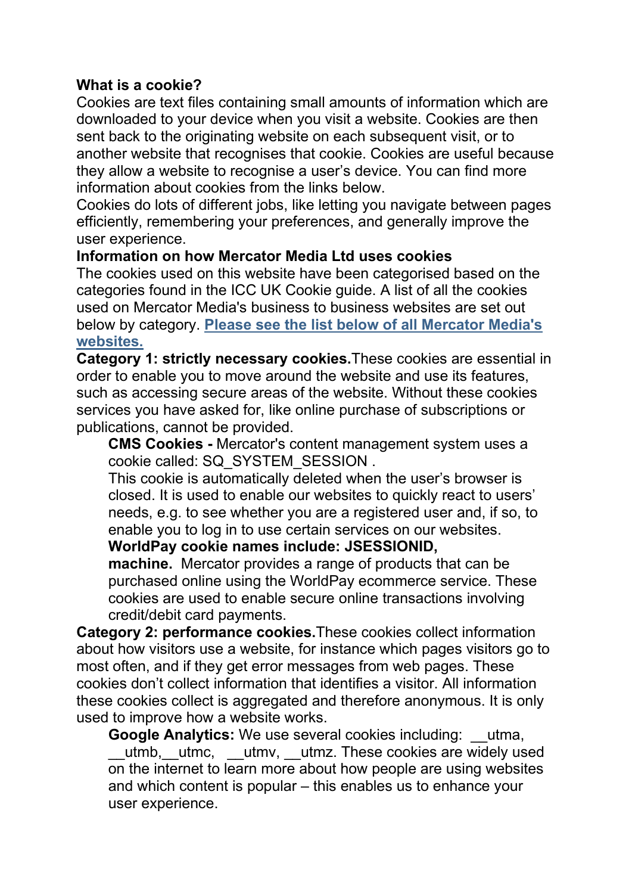## **What is a cookie?**

Cookies are text files containing small amounts of information which are downloaded to your device when you visit a website. Cookies are then sent back to the originating website on each subsequent visit, or to another website that recognises that cookie. Cookies are useful because they allow a website to recognise a user's device. You can find more information about cookies from the links below.

Cookies do lots of different jobs, like letting you navigate between pages efficiently, remembering your preferences, and generally improve the user experience.

## **Information on how Mercator Media Ltd uses cookies**

The cookies used on this website have been categorised based on the categories found in the ICC UK Cookie guide. A list of all the cookies used on Mercator Media's business to business websites are set out below by category. **Please see the list below of all [Mercator](https://www.mercatormedia.com/our-business/cookies#Mercator) Media's [websites.](https://www.mercatormedia.com/our-business/cookies#Mercator)**

**Category 1: strictly necessary cookies.**These cookies are essential in order to enable you to move around the website and use its features, such as accessing secure areas of the website. Without these cookies services you have asked for, like online purchase of subscriptions or publications, cannot be provided.

**CMS Cookies -** Mercator's content management system uses a cookie called: SQ\_SYSTEM\_SESSION .

This cookie is automatically deleted when the user's browser is closed. It is used to enable our websites to quickly react to users' needs, e.g. to see whether you are a registered user and, if so, to enable you to log in to use certain services on our websites.

## **WorldPay cookie names include: JSESSIONID,**

**machine.** Mercator provides a range of products that can be purchased online using the WorldPay ecommerce service. These cookies are used to enable secure online transactions involving credit/debit card payments.

**Category 2: performance cookies.**These cookies collect information about how visitors use a website, for instance which pages visitors go to most often, and if they get error messages from web pages. These cookies don't collect information that identifies a visitor. All information these cookies collect is aggregated and therefore anonymous. It is only used to improve how a website works.

**Google Analytics:** We use several cookies including: utma, utmb, utmc, utmv, utmz. These cookies are widely used on the internet to learn more about how people are using websites and which content is popular – this enables us to enhance your user experience.